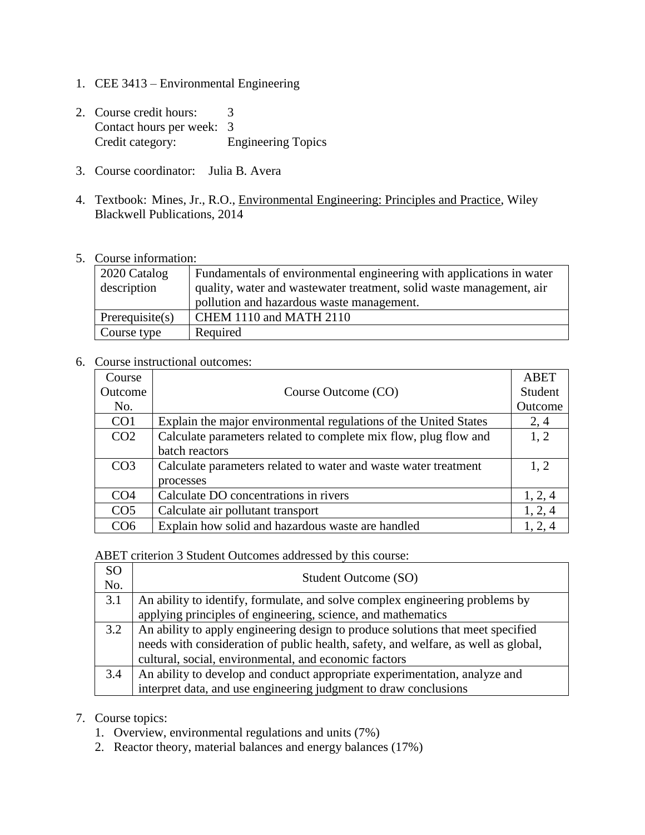- 1. CEE 3413 Environmental Engineering
- 2. Course credit hours: 3 Contact hours per week: 3 Credit category: Engineering Topics
- 3. Course coordinator: Julia B. Avera
- 4. Textbook: Mines, Jr., R.O., Environmental Engineering: Principles and Practice, Wiley Blackwell Publications, 2014
- 5. Course information:

| 2020 Catalog<br>description | Fundamentals of environmental engineering with applications in water<br>quality, water and wastewater treatment, solid waste management, air<br>pollution and hazardous waste management. |
|-----------------------------|-------------------------------------------------------------------------------------------------------------------------------------------------------------------------------------------|
| Prerequisite $(s)$          | CHEM 1110 and MATH 2110                                                                                                                                                                   |
| Course type                 | Required                                                                                                                                                                                  |

## 6. Course instructional outcomes:

| Course          |                                                                  | ABET    |
|-----------------|------------------------------------------------------------------|---------|
| Outcome         | Course Outcome (CO)                                              | Student |
| No.             |                                                                  | Outcome |
| CO <sub>1</sub> | Explain the major environmental regulations of the United States | 2, 4    |
| CO <sub>2</sub> | Calculate parameters related to complete mix flow, plug flow and | 1, 2    |
|                 | batch reactors                                                   |         |
| CO <sub>3</sub> | Calculate parameters related to water and waste water treatment  | 1.2     |
|                 | processes                                                        |         |
| CO <sub>4</sub> | Calculate DO concentrations in rivers                            | 1, 2, 4 |
| CO <sub>5</sub> | Calculate air pollutant transport                                | 1, 2, 4 |
| CO6             | Explain how solid and hazardous waste are handled                | 1, 2, 4 |

ABET criterion 3 Student Outcomes addressed by this course:

| SΟ<br>No. | Student Outcome (SO)                                                               |
|-----------|------------------------------------------------------------------------------------|
| 3.1       | An ability to identify, formulate, and solve complex engineering problems by       |
|           | applying principles of engineering, science, and mathematics                       |
| 3.2       | An ability to apply engineering design to produce solutions that meet specified    |
|           | needs with consideration of public health, safety, and welfare, as well as global, |
|           | cultural, social, environmental, and economic factors                              |
| 3.4       | An ability to develop and conduct appropriate experimentation, analyze and         |
|           | interpret data, and use engineering judgment to draw conclusions                   |

## 7. Course topics:

- 1. Overview, environmental regulations and units (7%)
- 2. Reactor theory, material balances and energy balances (17%)